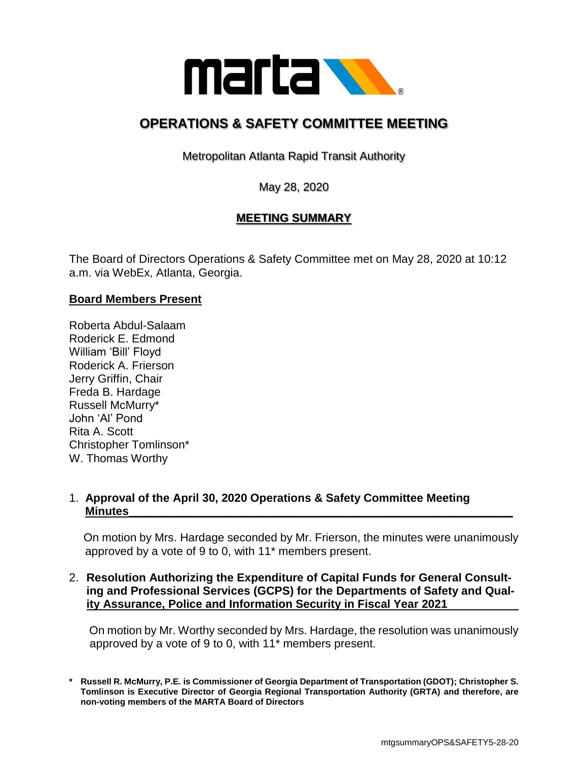

# **OPERATIONS & SAFETY COMMITTEE MEETING**

Metropolitan Atlanta Rapid Transit Authority

May 28, 2020

# **MEETING SUMMARY**

The Board of Directors Operations & Safety Committee met on May 28, 2020 at 10:12 a.m. via WebEx, Atlanta, Georgia.

# **Board Members Present**

Roberta Abdul-Salaam Roderick E. Edmond William 'Bill' Floyd Roderick A. Frierson Jerry Griffin, Chair Freda B. Hardage Russell McMurry\* John 'Al' Pond Rita A. Scott Christopher Tomlinson\* W. Thomas Worthy

# 1. **Approval of the April 30, 2020 Operations & Safety Committee Meeting Minutes\_\_\_\_\_\_\_\_\_\_\_\_\_\_\_\_\_\_\_\_\_\_\_\_\_\_\_\_\_\_\_\_\_\_\_\_\_\_\_\_\_\_\_\_\_\_\_\_\_\_\_\_\_\_\_\_\_\_\_\_**

 On motion by Mrs. Hardage seconded by Mr. Frierson, the minutes were unanimously approved by a vote of 9 to 0, with 11\* members present.

#### 2. **Resolution Authorizing the Expenditure of Capital Funds for General Consulting and Professional Services (GCPS) for the Departments of Safety and Quality Assurance, Police and Information Security in Fiscal Year 2021**

On motion by Mr. Worthy seconded by Mrs. Hardage, the resolution was unanimously approved by a vote of 9 to 0, with 11\* members present.

**\* Russell R. McMurry, P.E. is Commissioner of Georgia Department of Transportation (GDOT); Christopher S. Tomlinson is Executive Director of Georgia Regional Transportation Authority (GRTA) and therefore, are non-voting members of the MARTA Board of Directors**